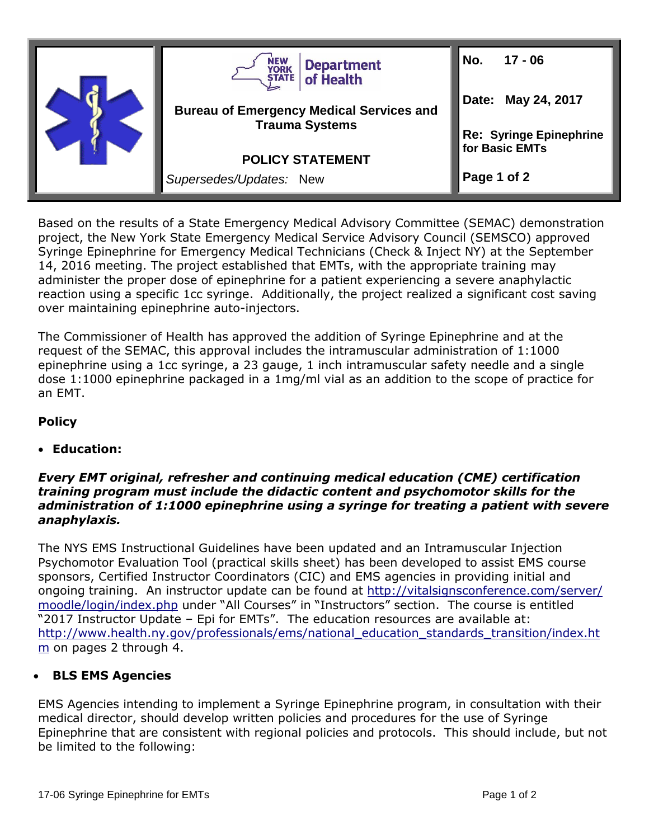

Based on the results of a State Emergency Medical Advisory Committee (SEMAC) demonstration project, the New York State Emergency Medical Service Advisory Council (SEMSCO) approved Syringe Epinephrine for Emergency Medical Technicians (Check & Inject NY) at the September 14, 2016 meeting. The project established that EMTs, with the appropriate training may administer the proper dose of epinephrine for a patient experiencing a severe anaphylactic reaction using a specific 1cc syringe. Additionally, the project realized a significant cost saving over maintaining epinephrine auto-injectors.

The Commissioner of Health has approved the addition of Syringe Epinephrine and at the request of the SEMAC, this approval includes the intramuscular administration of 1:1000 epinephrine using a 1cc syringe, a 23 gauge, 1 inch intramuscular safety needle and a single dose 1:1000 epinephrine packaged in a 1mg/ml vial as an addition to the scope of practice for an EMT.

## **Policy**

**Education:**

## *Every EMT original, refresher and continuing medical education (CME) certification training program must include the didactic content and psychomotor skills for the administration of 1:1000 epinephrine using a syringe for treating a patient with severe anaphylaxis.*

The NYS EMS Instructional Guidelines have been updated and an Intramuscular Injection Psychomotor Evaluation Tool (practical skills sheet) has been developed to assist EMS course sponsors, Certified Instructor Coordinators (CIC) and EMS agencies in providing initial and ongoing training. An instructor update can be found at [http://vitalsignsconference.com/server/](http://vitalsignsconference.com/server/moodle/login/index.php) [moodle/login/index.php](http://vitalsignsconference.com/server/moodle/login/index.php) under "All Courses" in "Instructors" section. The course is entitled "2017 Instructor Update – Epi for EMTs". The education resources are available at: [http://www.health.ny.gov/professionals/ems/national\\_education\\_standards\\_transition/index.ht](http://www.health.ny.gov/professionals/ems/national_education_standards_transition/index.htm) [m](http://www.health.ny.gov/professionals/ems/national_education_standards_transition/index.htm) on pages 2 through 4.

## **BLS EMS Agencies**

EMS Agencies intending to implement a Syringe Epinephrine program, in consultation with their medical director, should develop written policies and procedures for the use of Syringe Epinephrine that are consistent with regional policies and protocols. This should include, but not be limited to the following: